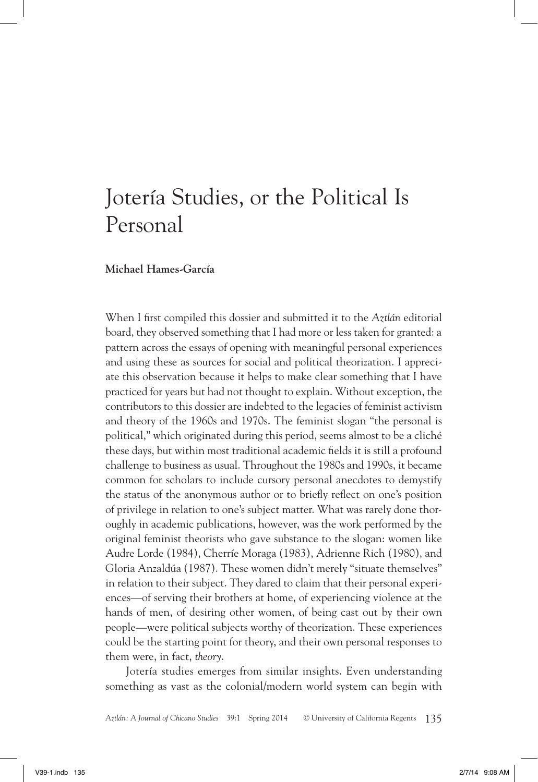## Jotería Studies, or the Political Is Personal

## **Michael Hames-García**

When I first compiled this dossier and submitted it to the *Aztlán* editorial board, they observed something that I had more or less taken for granted: a pattern across the essays of opening with meaningful personal experiences and using these as sources for social and political theorization. I appreciate this observation because it helps to make clear something that I have practiced for years but had not thought to explain. Without exception, the contributors to this dossier are indebted to the legacies of feminist activism and theory of the 1960s and 1970s. The feminist slogan "the personal is political," which originated during this period, seems almost to be a cliché these days, but within most traditional academic fields it is still a profound challenge to business as usual. Throughout the 1980s and 1990s, it became common for scholars to include cursory personal anecdotes to demystify the status of the anonymous author or to briefly reflect on one's position of privilege in relation to one's subject matter. What was rarely done thoroughly in academic publications, however, was the work performed by the original feminist theorists who gave substance to the slogan: women like Audre Lorde (1984), Cherríe Moraga (1983), Adrienne Rich (1980), and Gloria Anzaldúa (1987). These women didn't merely "situate themselves" in relation to their subject. They dared to claim that their personal experiences—of serving their brothers at home, of experiencing violence at the hands of men, of desiring other women, of being cast out by their own people—were political subjects worthy of theorization. These experiences could be the starting point for theory, and their own personal responses to them were, in fact, *theory*.

Jotería studies emerges from similar insights. Even understanding something as vast as the colonial/modern world system can begin with

*Aztlán: A Journal of Chicano Studies* 39:1 Spring 2014 © University of California Regents 135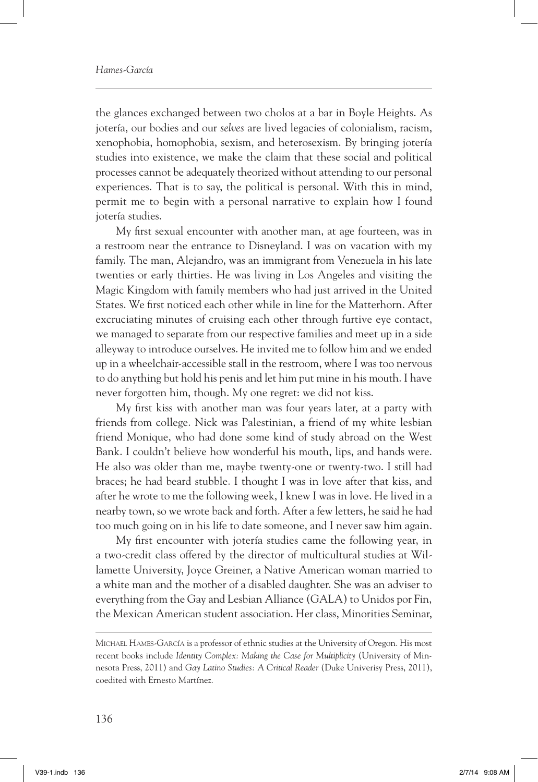## *Hames-García*

the glances exchanged between two cholos at a bar in Boyle Heights. As jotería, our bodies and our *selves* are lived legacies of colonialism, racism, xenophobia, homophobia, sexism, and heterosexism. By bringing jotería studies into existence, we make the claim that these social and political processes cannot be adequately theorized without attending to our personal experiences. That is to say, the political is personal. With this in mind, permit me to begin with a personal narrative to explain how I found jotería studies.

My first sexual encounter with another man, at age fourteen, was in a restroom near the entrance to Disneyland. I was on vacation with my family. The man, Alejandro, was an immigrant from Venezuela in his late twenties or early thirties. He was living in Los Angeles and visiting the Magic Kingdom with family members who had just arrived in the United States. We first noticed each other while in line for the Matterhorn. After excruciating minutes of cruising each other through furtive eye contact, we managed to separate from our respective families and meet up in a side alleyway to introduce ourselves. He invited me to follow him and we ended up in a wheelchair-accessible stall in the restroom, where I was too nervous to do anything but hold his penis and let him put mine in his mouth. I have never forgotten him, though. My one regret: we did not kiss.

My first kiss with another man was four years later, at a party with friends from college. Nick was Palestinian, a friend of my white lesbian friend Monique, who had done some kind of study abroad on the West Bank. I couldn't believe how wonderful his mouth, lips, and hands were. He also was older than me, maybe twenty-one or twenty-two. I still had braces; he had beard stubble. I thought I was in love after that kiss, and after he wrote to me the following week, I knew I was in love. He lived in a nearby town, so we wrote back and forth. After a few letters, he said he had too much going on in his life to date someone, and I never saw him again.

My first encounter with jotería studies came the following year, in a two-credit class offered by the director of multicultural studies at Willamette University, Joyce Greiner, a Native American woman married to a white man and the mother of a disabled daughter. She was an adviser to everything from the Gay and Lesbian Alliance (GALA) to Unidos por Fin, the Mexican American student association. Her class, Minorities Seminar,

Michael Hames-García is a professor of ethnic studies at the University of Oregon. His most recent books include *Identity Complex: Making the Case for Multiplicity* (University of Minnesota Press, 2011) and *Gay Latino Studies: A Critical Reader* (Duke Univerisy Press, 2011), coedited with Ernesto Martínez.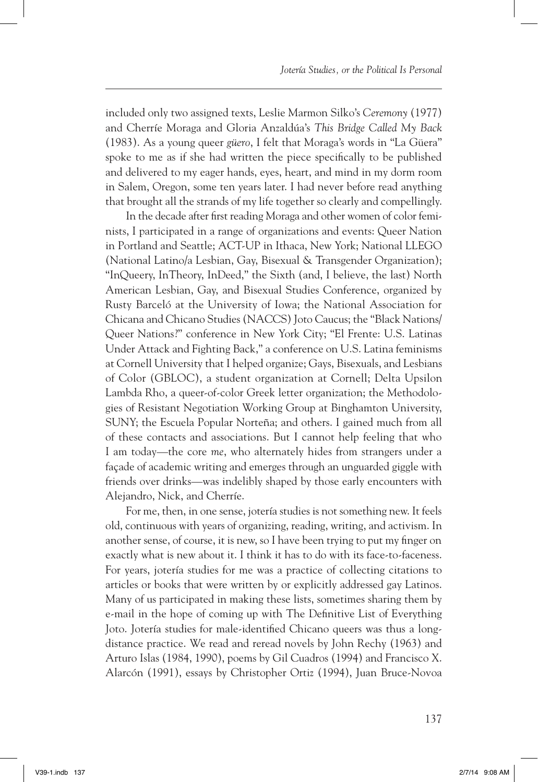included only two assigned texts, Leslie Marmon Silko's *Ceremony* (1977) and Cherríe Moraga and Gloria Anzaldúa's *This Bridge Called My Back* (1983). As a young queer *güero*, I felt that Moraga's words in "La Güera" spoke to me as if she had written the piece specifically to be published and delivered to my eager hands, eyes, heart, and mind in my dorm room in Salem, Oregon, some ten years later. I had never before read anything that brought all the strands of my life together so clearly and compellingly.

In the decade after first reading Moraga and other women of color feminists, I participated in a range of organizations and events: Queer Nation in Portland and Seattle; ACT-UP in Ithaca, New York; National LLEGO (National Latino/a Lesbian, Gay, Bisexual & Transgender Organization); "InQueery, InTheory, InDeed," the Sixth (and, I believe, the last) North American Lesbian, Gay, and Bisexual Studies Conference, organized by Rusty Barceló at the University of Iowa; the National Association for Chicana and Chicano Studies (NACCS) Joto Caucus; the "Black Nations/ Queer Nations?" conference in New York City; "El Frente: U.S. Latinas Under Attack and Fighting Back," a conference on U.S. Latina feminisms at Cornell University that I helped organize; Gays, Bisexuals, and Lesbians of Color (GBLOC), a student organization at Cornell; Delta Upsilon Lambda Rho, a queer-of-color Greek letter organization; the Methodologies of Resistant Negotiation Working Group at Binghamton University, SUNY; the Escuela Popular Norteña; and others. I gained much from all of these contacts and associations. But I cannot help feeling that who I am today—the core *me*, who alternately hides from strangers under a façade of academic writing and emerges through an unguarded giggle with friends over drinks—was indelibly shaped by those early encounters with Alejandro, Nick, and Cherríe.

For me, then, in one sense, jotería studies is not something new. It feels old, continuous with years of organizing, reading, writing, and activism. In another sense, of course, it is new, so I have been trying to put my finger on exactly what is new about it. I think it has to do with its face-to-faceness. For years, jotería studies for me was a practice of collecting citations to articles or books that were written by or explicitly addressed gay Latinos. Many of us participated in making these lists, sometimes sharing them by e-mail in the hope of coming up with The Definitive List of Everything Joto. Jotería studies for male-identified Chicano queers was thus a longdistance practice. We read and reread novels by John Rechy (1963) and Arturo Islas (1984, 1990), poems by Gil Cuadros (1994) and Francisco X. Alarcón (1991), essays by Christopher Ortiz (1994), Juan Bruce-Novoa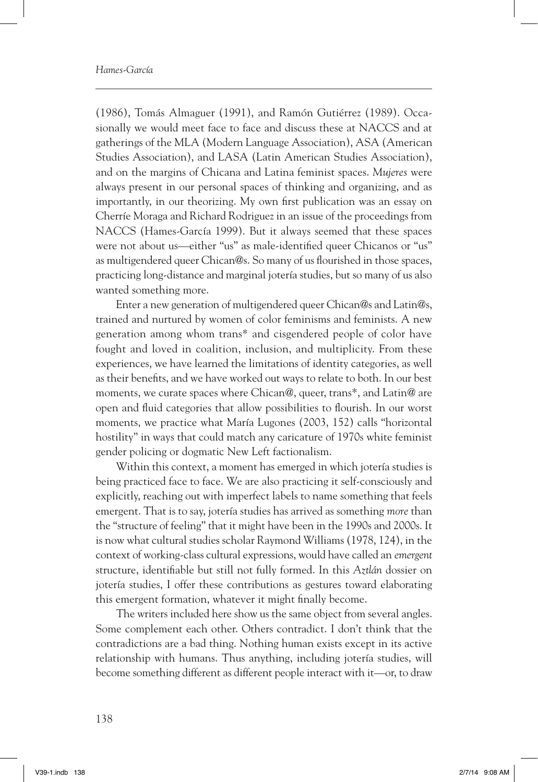(1986), Tomás Almaguer (1991), and Ramón Gutiérrez (1989). Occasionally we would meet face to face and discuss these at NACCS and at gatherings of the MLA (Modern Language Association), ASA (American Studies Association), and LASA (Latin American Studies Association), and on the margins of Chicana and Latina feminist spaces. *Mujeres* were always present in our personal spaces of thinking and organizing, and as importantly, in our theorizing. My own first publication was an essay on Cherríe Moraga and Richard Rodriguez in an issue of the proceedings from NACCS (Hames-García 1999). But it always seemed that these spaces were not about us—either "us" as male-identified queer Chicanos or "us" as multigendered queer Chican@s. So many of us flourished in those spaces, practicing long-distance and marginal jotería studies, but so many of us also wanted something more.

Enter a new generation of multigendered queer Chican@s and Latin@s, trained and nurtured by women of color feminisms and feminists. A new generation among whom trans\* and cisgendered people of color have fought and loved in coalition, inclusion, and multiplicity. From these experiences, we have learned the limitations of identity categories, as well as their benefits, and we have worked out ways to relate to both. In our best moments, we curate spaces where Chican@, queer, trans\*, and Latin@ are open and fluid categories that allow possibilities to flourish. In our worst moments, we practice what María Lugones (2003, 152) calls "horizontal hostility" in ways that could match any caricature of 1970s white feminist gender policing or dogmatic New Left factionalism.

Within this context, a moment has emerged in which jotería studies is being practiced face to face. We are also practicing it self-consciously and explicitly, reaching out with imperfect labels to name something that feels emergent. That is to say, jotería studies has arrived as something *more* than the "structure of feeling" that it might have been in the 1990s and 2000s. It is now what cultural studies scholar Raymond Williams (1978, 124), in the context of working-class cultural expressions, would have called an *emergent* structure, identifiable but still not fully formed. In this *Aztlán* dossier on jotería studies, I offer these contributions as gestures toward elaborating this emergent formation, whatever it might finally become.

The writers included here show us the same object from several angles. Some complement each other. Others contradict. I don't think that the contradictions are a bad thing. Nothing human exists except in its active relationship with humans. Thus anything, including jotería studies, will become something different as different people interact with it—or, to draw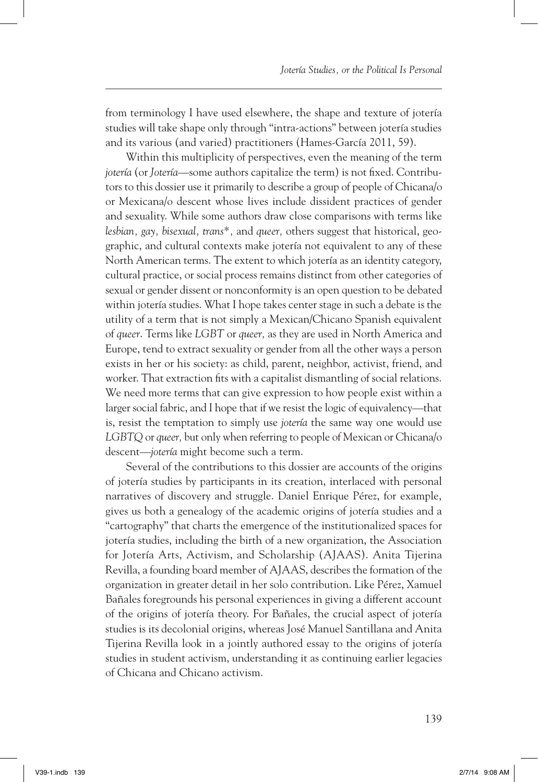from terminology I have used elsewhere, the shape and texture of jotería studies will take shape only through "intra-actions" between jotería studies and its various (and varied) practitioners (Hames-García 2011, 59).

Within this multiplicity of perspectives, even the meaning of the term *jotería* (or *Jotería*—some authors capitalize the term) is not fixed. Contributors to this dossier use it primarily to describe a group of people of Chicana/o or Mexicana/o descent whose lives include dissident practices of gender and sexuality. While some authors draw close comparisons with terms like *lesbian, gay, bisexual, trans\*,* and *queer,* others suggest that historical, geographic, and cultural contexts make jotería not equivalent to any of these North American terms. The extent to which jotería as an identity category, cultural practice, or social process remains distinct from other categories of sexual or gender dissent or nonconformity is an open question to be debated within jotería studies. What I hope takes center stage in such a debate is the utility of a term that is not simply a Mexican/Chicano Spanish equivalent of *queer*. Terms like *LGBT* or *queer,* as they are used in North America and Europe, tend to extract sexuality or gender from all the other ways a person exists in her or his society: as child, parent, neighbor, activist, friend, and worker. That extraction fits with a capitalist dismantling of social relations. We need more terms that can give expression to how people exist within a larger social fabric, and I hope that if we resist the logic of equivalency—that is, resist the temptation to simply use *jotería* the same way one would use *LGBTQ* or *queer,* but only when referring to people of Mexican or Chicana/o descent—*jotería* might become such a term.

Several of the contributions to this dossier are accounts of the origins of jotería studies by participants in its creation, interlaced with personal narratives of discovery and struggle. Daniel Enrique Pérez, for example, gives us both a genealogy of the academic origins of jotería studies and a "cartography" that charts the emergence of the institutionalized spaces for jotería studies, including the birth of a new organization, the Association for Jotería Arts, Activism, and Scholarship (AJAAS). Anita Tijerina Revilla, a founding board member of AJAAS, describes the formation of the organization in greater detail in her solo contribution. Like Pérez, Xamuel Bañales foregrounds his personal experiences in giving a different account of the origins of jotería theory. For Bañales, the crucial aspect of jotería studies is its decolonial origins, whereas José Manuel Santillana and Anita Tijerina Revilla look in a jointly authored essay to the origins of jotería studies in student activism, understanding it as continuing earlier legacies of Chicana and Chicano activism.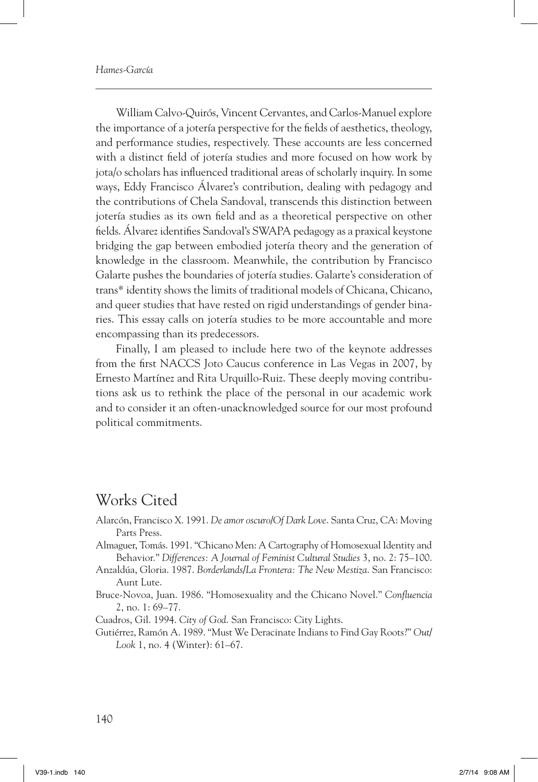William Calvo-Quirós, Vincent Cervantes, and Carlos-Manuel explore the importance of a jotería perspective for the fields of aesthetics, theology, and performance studies, respectively. These accounts are less concerned with a distinct field of jotería studies and more focused on how work by jota/o scholars has influenced traditional areas of scholarly inquiry. In some ways, Eddy Francisco Álvarez's contribution, dealing with pedagogy and the contributions of Chela Sandoval, transcends this distinction between jotería studies as its own field and as a theoretical perspective on other fields. Álvarez identifies Sandoval's SWAPA pedagogy as a praxical keystone bridging the gap between embodied jotería theory and the generation of knowledge in the classroom. Meanwhile, the contribution by Francisco Galarte pushes the boundaries of jotería studies. Galarte's consideration of trans\* identity shows the limits of traditional models of Chicana, Chicano, and queer studies that have rested on rigid understandings of gender binaries. This essay calls on jotería studies to be more accountable and more encompassing than its predecessors.

Finally, I am pleased to include here two of the keynote addresses from the first NACCS Joto Caucus conference in Las Vegas in 2007, by Ernesto Martínez and Rita Urquillo-Ruiz. These deeply moving contributions ask us to rethink the place of the personal in our academic work and to consider it an often-unacknowledged source for our most profound political commitments.

## Works Cited

- Alarcón, Francisco X. 1991. *De amor oscuro/Of Dark Love*. Santa Cruz, CA: Moving Parts Press.
- Almaguer, Tomás. 1991. "Chicano Men: A Cartography of Homosexual Identity and Behavior." *Differences: A Journal of Feminist Cultural Studies* 3, no. 2: 75–100.
- Anzaldúa, Gloria. 1987. *Borderlands/La Frontera: The New Mestiza*. San Francisco: Aunt Lute.
- Bruce-Novoa, Juan. 1986. "Homosexuality and the Chicano Novel." *Confluencia* 2, no. 1: 69–77.

Cuadros, Gil. 1994. *City of God*. San Francisco: City Lights.

Gutiérrez, Ramón A. 1989. "Must We Deracinate Indians to Find Gay Roots?" *Out/ Look* 1, no. 4 (Winter): 61–67.